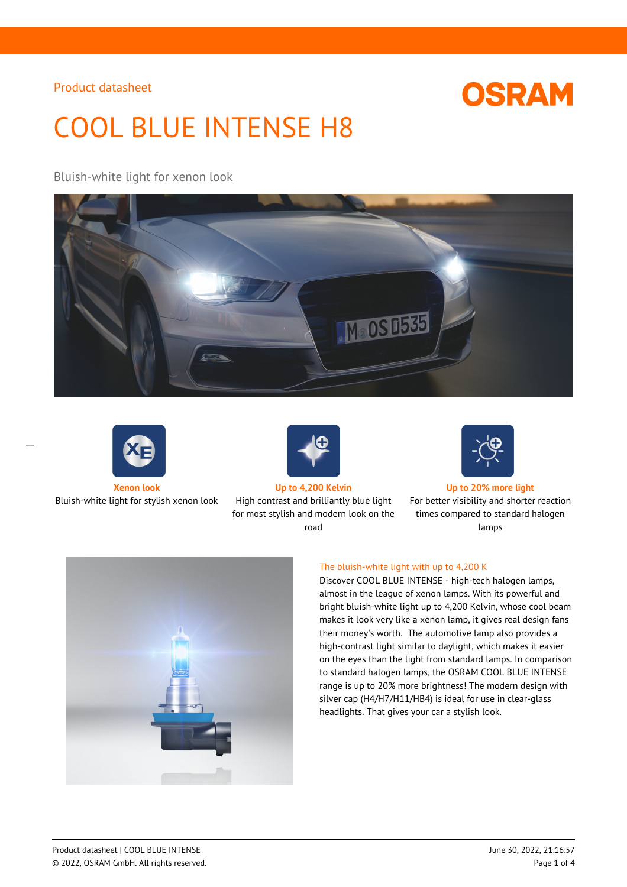# **OSRAM**

# COOL BLUE INTENSE H8

Bluish-white light for xenon look





 $\overline{a}$ 



Bluish-white light for stylish xenon look High contrast and brilliantly blue light for most stylish and modern look on the road



**Xenon look Up to 4,200 Kelvin Up to 20% more light**

For better visibility and shorter reaction times compared to standard halogen lamps



### The bluish-white light with up to 4,200 K

Discover COOL BLUE INTENSE - high-tech halogen lamps, almost in the league of xenon lamps. With its powerful and bright bluish-white light up to 4,200 Kelvin, whose cool beam makes it look very like a xenon lamp, it gives real design fans their money's worth. The automotive lamp also provides a high-contrast light similar to daylight, which makes it easier on the eyes than the light from standard lamps. In comparison to standard halogen lamps, the OSRAM COOL BLUE INTENSE range is up to 20% more brightness! The modern design with silver cap (H4/H7/H11/HB4) is ideal for use in clear-glass headlights. That gives your car a stylish look.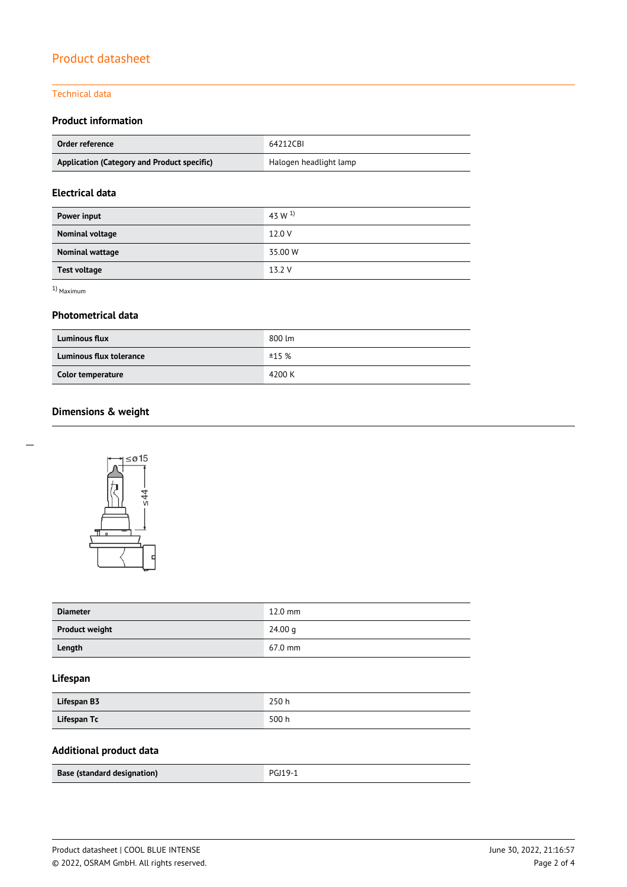#### Technical data

## **Product information**

| Order reference                             | 64212CBI               |  |
|---------------------------------------------|------------------------|--|
| Application (Category and Product specific) | Halogen headlight lamp |  |

## **Electrical data**

| Power input         | 43 W $^{1}$ |
|---------------------|-------------|
| Nominal voltage     | 12.0 V      |
| Nominal wattage     | 35.00 W     |
| <b>Test voltage</b> | 13.2 V      |

1) Maximum

### **Photometrical data**

| <b>Luminous flux</b>    | 800 lm |
|-------------------------|--------|
| Luminous flux tolerance | ±15%   |
| Color temperature       | 4200 K |

# **Dimensions & weight**



| <b>Diameter</b>       | $12.0$ mm |
|-----------------------|-----------|
| <b>Product weight</b> | 24.00 g   |
| Length                | 67.0 mm   |

## **Lifespan**

| Lifespan B3 | 250h  |
|-------------|-------|
| Lifespan Tc | 500 h |

# **Additional product data**

| <b>Base (standard designation)</b> | PGJ19-1 |
|------------------------------------|---------|
|                                    |         |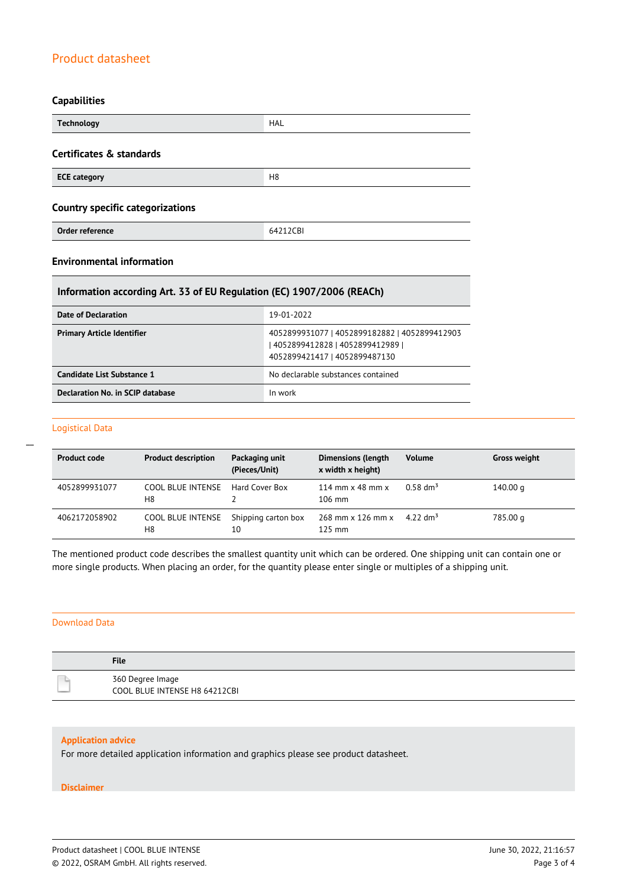#### **Capabilities**

| <b>Technology</b>                       | HAL            |  |
|-----------------------------------------|----------------|--|
| Certificates & standards                |                |  |
| <b>ECE category</b>                     | H <sub>8</sub> |  |
| <b>Country specific categorizations</b> |                |  |
| Order reference                         | 64212CBI       |  |

## **Environmental information**

## **Information according Art. 33 of EU Regulation (EC) 1907/2006 (REACh)**

| Date of Declaration               | 19-01-2022                                                                                                          |
|-----------------------------------|---------------------------------------------------------------------------------------------------------------------|
| <b>Primary Article Identifier</b> | 4052899931077   4052899182882   4052899412903<br>  4052899412828   4052899412989  <br>4052899421417   4052899487130 |
| Candidate List Substance 1        | No declarable substances contained                                                                                  |
| Declaration No. in SCIP database  | In work                                                                                                             |

#### Logistical Data

 $\overline{a}$ 

| <b>Product code</b> | <b>Product description</b>     | Packaging unit<br>(Pieces/Unit) | <b>Dimensions (length</b><br>x width x height)     | <b>Volume</b>          | <b>Gross weight</b> |
|---------------------|--------------------------------|---------------------------------|----------------------------------------------------|------------------------|---------------------|
| 4052899931077       | COOL BLUE INTENSE<br>H8        | Hard Cover Box                  | 114 mm $\times$ 48 mm $\times$<br>$106 \text{ mm}$ | $0.58$ dm <sup>3</sup> | 140.00 g            |
| 4062172058902       | <b>COOL BLUE INTENSE</b><br>H8 | Shipping carton box<br>10       | 268 mm x 126 mm x<br>$125$ mm                      | 4.22 dm <sup>3</sup>   | 785.00 g            |

The mentioned product code describes the smallest quantity unit which can be ordered. One shipping unit can contain one or more single products. When placing an order, for the quantity please enter single or multiples of a shipping unit.

#### Download Data

| <b>File</b>                                       |
|---------------------------------------------------|
| 360 Degree Image<br>COOL BLUE INTENSE H8 64212CBI |

#### **Application advice**

For more detailed application information and graphics please see product datasheet.

#### **Disclaimer**